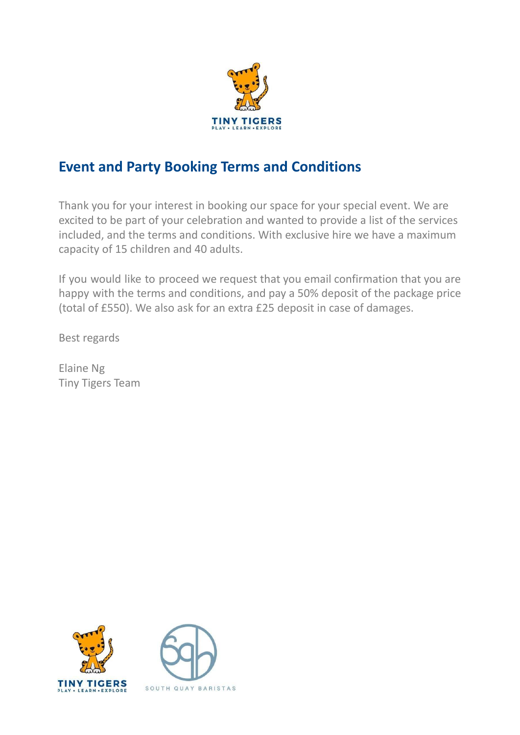

# **Event and Party Booking Terms and Conditions**

Thank you for your interest in booking our space for your special event. We are excited to be part of your celebration and wanted to provide a list of the services included, and the terms and conditions. With exclusive hire we have a maximum capacity of 15 children and 40 adults.

If you would like to proceed we request that you email confirmation that you are happy with the terms and conditions, and pay a 50% deposit of the package price (total of £550). We also ask for an extra £25 deposit in case of damages.

Best regards

Elaine Ng Tiny Tigers Team



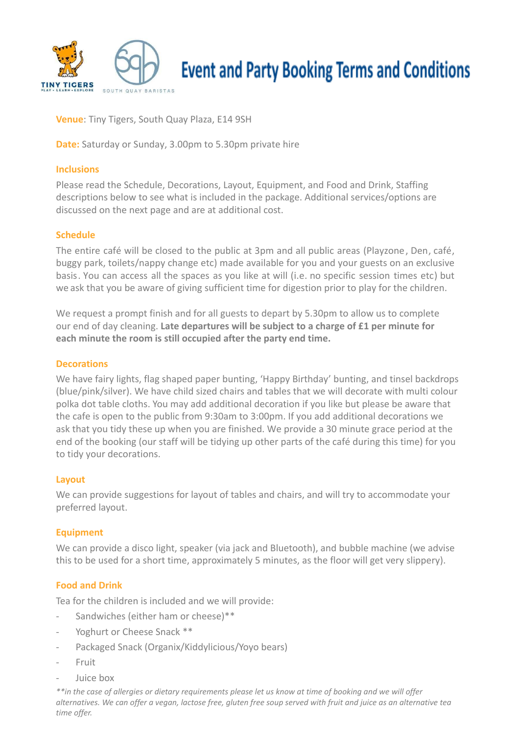

# **Event and Party Booking Terms and Conditions**

**Venue**: Tiny Tigers, South Quay Plaza, E14 9SH

**Date:** Saturday or Sunday, 3.00pm to 5.30pm private hire

#### **Inclusions**

Please read the Schedule, Decorations, Layout, Equipment, and Food and Drink, Staffing descriptions below to see what is included in the package. Additional services/options are discussed on the next page and are at additional cost.

#### **Schedule**

The entire café will be closed to the public at 3pm and all public areas (Playzone, Den, café, buggy park, toilets/nappy change etc) made available for you and your guests on an exclusive basis. You can access all the spaces as you like at will (i.e. no specific session times etc) but we ask that you be aware of giving sufficient time for digestion prior to play for the children.

We request a prompt finish and for all guests to depart by 5.30pm to allow us to complete our end of day cleaning. **Late departures will be subject to a charge of £1 per minute for each minute the room is still occupied after the party end time.**

#### **Decorations**

We have fairy lights, flag shaped paper bunting, 'Happy Birthday' bunting, and tinsel backdrops (blue/pink/silver). We have child sized chairs and tables that we will decorate with multi colour polka dot table cloths. You may add additional decoration if you like but please be aware that the cafe is open to the public from 9:30am to 3:00pm. If you add additional decorations we ask that you tidy these up when you are finished. We provide a 30 minute grace period at the end of the booking (our staff will be tidying up other parts of the café during this time) for you to tidy your decorations.

#### **Layout**

We can provide suggestions for layout of tables and chairs, and will try to accommodate your preferred layout.

## **Equipment**

We can provide a disco light, speaker (via jack and Bluetooth), and bubble machine (we advise this to be used for a short time, approximately 5 minutes, as the floor will get very slippery).

## **Food and Drink**

Tea for the children is included and we will provide:

- Sandwiches (either ham or cheese)\*\*
- Yoghurt or Cheese Snack \*\*
- Packaged Snack (Organix/Kiddylicious/Yoyo bears)
- Fruit
- Juice box

\*\*in the case of allergies or dietary requirements please let us know at time of booking and we will offer alternatives. We can offer a vegan, lactose free, gluten free soup served with fruit and juice as an alternative tea *time offer.*